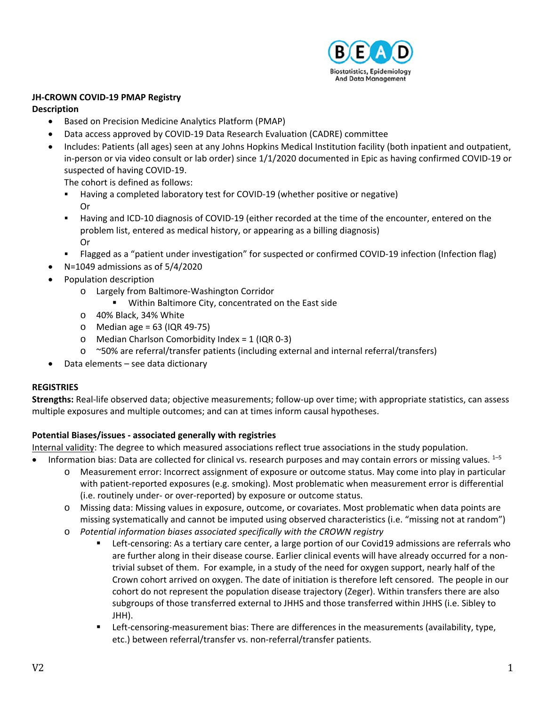

### **JH‐CROWN COVID‐19 PMAP Registry**

### **Description**

- Based on Precision Medicine Analytics Platform (PMAP)
- Data access approved by COVID‐19 Data Research Evaluation (CADRE) committee
- Includes: Patients (all ages) seen at any Johns Hopkins Medical Institution facility (both inpatient and outpatient, in-person or via video consult or lab order) since 1/1/2020 documented in Epic as having confirmed COVID-19 or suspected of having COVID‐19.

The cohort is defined as follows:

- Having a completed laboratory test for COVID‐19 (whether positive or negative) Or
- Having and ICD-10 diagnosis of COVID-19 (either recorded at the time of the encounter, entered on the problem list, entered as medical history, or appearing as a billing diagnosis) Or
- Flagged as a "patient under investigation" for suspected or confirmed COVID‐19 infection (Infection flag)
- N=1049 admissions as of 5/4/2020
- Population description
	- o Largely from Baltimore‐Washington Corridor
		- **Within Baltimore City, concentrated on the East side**
	- o 40% Black, 34% White
	- $\circ$  Median age = 63 (IQR 49-75)
	- o Median Charlson Comorbidity Index = 1 (IQR 0‐3)
	- o ~50% are referral/transfer patients (including external and internal referral/transfers)
- Data elements see data dictionary

# **REGISTRIES**

**Strengths:** Real‐life observed data; objective measurements; follow‐up over time; with appropriate statistics, can assess multiple exposures and multiple outcomes; and can at times inform causal hypotheses.

# **Potential Biases/issues ‐ associated generally with registries**

Internal validity: The degree to which measured associations reflect true associations in the study population.

- **Information bias: Data are collected for clinical vs. research purposes and may contain errors or missing values.**  $1-5$ o Measurement error: Incorrect assignment of exposure or outcome status. May come into play in particular with patient-reported exposures (e.g. smoking). Most problematic when measurement error is differential (i.e. routinely under‐ or over‐reported) by exposure or outcome status.
	- o Missing data: Missing values in exposure, outcome, or covariates. Most problematic when data points are missing systematically and cannot be imputed using observed characteristics (i.e. "missing not at random")
	- o *Potential information biases associated specifically with the CROWN registry* 
		- Left-censoring: As a tertiary care center, a large portion of our Covid19 admissions are referrals who are further along in their disease course. Earlier clinical events will have already occurred for a nontrivial subset of them. For example, in a study of the need for oxygen support, nearly half of the Crown cohort arrived on oxygen. The date of initiation is therefore left censored. The people in our cohort do not represent the population disease trajectory (Zeger). Within transfers there are also subgroups of those transferred external to JHHS and those transferred within JHHS (i.e. Sibley to JHH).
		- Left-censoring-measurement bias: There are differences in the measurements (availability, type, etc.) between referral/transfer vs. non‐referral/transfer patients.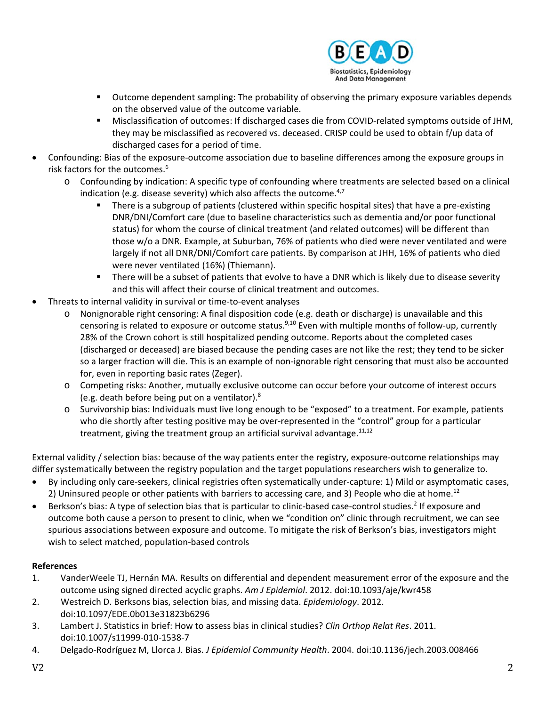

- **ULTA COUTCOMED ASSESS UPS AT A LOCAL THE PROPERTY INCOCOLD FOR A LOCAL EXPLOM** OUTCOMER 100000 **COLOGAT CONTERTY** on the observed value of the outcome variable.
- Misclassification of outcomes: If discharged cases die from COVID-related symptoms outside of JHM, they may be misclassified as recovered vs. deceased. CRISP could be used to obtain f/up data of discharged cases for a period of time.
- Confounding: Bias of the exposure‐outcome association due to baseline differences among the exposure groups in risk factors for the outcomes.<sup>6</sup>
	- o Confounding by indication: A specific type of confounding where treatments are selected based on a clinical indication (e.g. disease severity) which also affects the outcome. $4,7$ 
		- There is a subgroup of patients (clustered within specific hospital sites) that have a pre‐existing DNR/DNI/Comfort care (due to baseline characteristics such as dementia and/or poor functional status) for whom the course of clinical treatment (and related outcomes) will be different than those w/o a DNR. Example, at Suburban, 76% of patients who died were never ventilated and were largely if not all DNR/DNI/Comfort care patients. By comparison at JHH, 16% of patients who died were never ventilated (16%) (Thiemann).
		- There will be a subset of patients that evolve to have a DNR which is likely due to disease severity and this will affect their course of clinical treatment and outcomes.
- Threats to internal validity in survival or time‐to‐event analyses
	- o Nonignorable right censoring: A final disposition code (e.g. death or discharge) is unavailable and this censoring is related to exposure or outcome status.<sup>9,10</sup> Even with multiple months of follow-up, currently 28% of the Crown cohort is still hospitalized pending outcome. Reports about the completed cases (discharged or deceased) are biased because the pending cases are not like the rest; they tend to be sicker so a larger fraction will die. This is an example of non-ignorable right censoring that must also be accounted for, even in reporting basic rates (Zeger).
	- o Competing risks: Another, mutually exclusive outcome can occur before your outcome of interest occurs (e.g. death before being put on a ventilator).8
	- o Survivorship bias: Individuals must live long enough to be "exposed" to a treatment. For example, patients who die shortly after testing positive may be over-represented in the "control" group for a particular treatment, giving the treatment group an artificial survival advantage.  $11,12$

External validity / selection bias: because of the way patients enter the registry, exposure‐outcome relationships may differ systematically between the registry population and the target populations researchers wish to generalize to.

- By including only care‐seekers, clinical registries often systematically under‐capture: 1) Mild or asymptomatic cases, 2) Uninsured people or other patients with barriers to accessing care, and 3) People who die at home.<sup>12</sup>
- Berkson's bias: A type of selection bias that is particular to clinic-based case-control studies.<sup>2</sup> If exposure and outcome both cause a person to present to clinic, when we "condition on" clinic through recruitment, we can see spurious associations between exposure and outcome. To mitigate the risk of Berkson's bias, investigators might wish to select matched, population‐based controls

# **References**

- 1. VanderWeele TJ, Hernán MA. Results on differential and dependent measurement error of the exposure and the outcome using signed directed acyclic graphs. *Am J Epidemiol*. 2012. doi:10.1093/aje/kwr458
- 2. Westreich D. Berksons bias, selection bias, and missing data. *Epidemiology*. 2012. doi:10.1097/EDE.0b013e31823b6296
- 3. Lambert J. Statistics in brief: How to assess bias in clinical studies? *Clin Orthop Relat Res*. 2011. doi:10.1007/s11999‐010‐1538‐7
- 4. Delgado‐Rodríguez M, Llorca J. Bias. *J Epidemiol Community Health*. 2004. doi:10.1136/jech.2003.008466